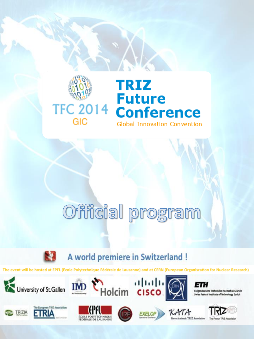

# Official program



A world premiere in Switzerland !

The event will be hosted at EPFL (Ecole Polytechnique Fédérale de Lausanne) and at CERN (European Organiszation for Nuclear Research)

Holcim cisco.









IMD









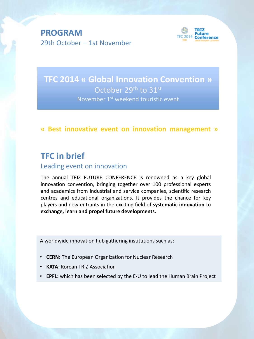**PROGRAM** 29th October – 1st November



**TFC 2014 « Global Innovation Convention »** October 29th to 31st November 1<sup>st</sup> weekend touristic event

## **« Best innovative event on innovation management »**

## **TFC in brief**

### Leading event on innovation

The annual TRIZ FUTURE CONFERENCE is renowned as a key global innovation convention, bringing together over 100 professional experts and academics from industrial and service companies, scientific research centres and educational organizations. It provides the chance for key players and new entrants in the exciting field of **systematic innovation** to **exchange, learn and propel future developments.**

A worldwide innovation hub gathering institutions such as:

- **CERN:** The European Organization for Nuclear Research
- **KATA:** Korean TRIZ Association
- **EPFL:** which has been selected by the E-U to lead the Human Brain Project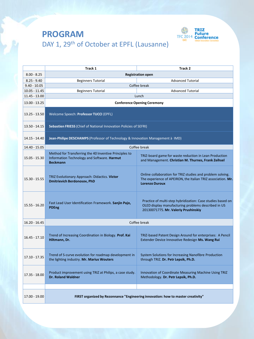

# **PROGRAM** DAY 1, 29<sup>th</sup> of October at EPFL (Lausanne)

|                 | Track 1                                                                                                                  | Track 2                                                                                                                                                    |
|-----------------|--------------------------------------------------------------------------------------------------------------------------|------------------------------------------------------------------------------------------------------------------------------------------------------------|
| $8.00 - 8.25$   | <b>Registration open</b>                                                                                                 |                                                                                                                                                            |
| $8.25 - 9.40$   | <b>Beginners Tutorial</b>                                                                                                | <b>Advanced Tutorial</b>                                                                                                                                   |
| $9.40 - 10.05$  | Coffee break                                                                                                             |                                                                                                                                                            |
| $10.05 - 11.45$ | Beginners Tutorial                                                                                                       | <b>Advanced Tutorial</b>                                                                                                                                   |
| 11.45 - 13.00   | Lunch                                                                                                                    |                                                                                                                                                            |
| 13.00 - 13.25   | <b>Conference Opening Ceremony</b>                                                                                       |                                                                                                                                                            |
| 13.25 - 13.50   | Welcome Speech: Professor TUCCI (EPFL)                                                                                   |                                                                                                                                                            |
| 13.50 - 14.15   | Sebastien FRIESS (Chief of National Innovation Policies of SEFRI)                                                        |                                                                                                                                                            |
| 14.15 - 14.40   | Jean-Philipe DESCHAMPS (Professor of Technology & Innovation Management à IMD)                                           |                                                                                                                                                            |
| 14.40 - 15.05   | Coffee break                                                                                                             |                                                                                                                                                            |
| 15.05 - 15.30   | Method for Transferring the 40 Inventive Principles to<br>Information Technology and Software. Harmut<br><b>Beckmann</b> | TRIZ-board game for waste reduction in Lean Production<br>and Management. Christian M. Thurnes, Frank Zeihsel                                              |
| 15.30 - 15.55   | TRIZ Evolutionary Approach: Didactics. Victor<br><b>Dmitrievich Berdonosov, PhD</b>                                      | Online collaboration for TRIZ studies and problem solving.<br>The experience of APEIRON, the Italian TRIZ association. Mr.<br><b>Lorenzo Duroux</b>        |
| $15.55 - 16.20$ | Fast Lead User Identification Framework. Sanjin Pajo,<br>PDEng                                                           | Practice of multi-step hybridization: Case studies based on<br>OLED display manufacturing problems described in US<br>20130071775. Mr. Valeriy Prushinskiy |
| $16.20 - 16.45$ | Coffee break                                                                                                             |                                                                                                                                                            |
| $16.45 - 17.10$ | Trend of Increasing Coordination in Biology. Prof. Kai<br>Hiltmann, Dr.                                                  | TRIZ-based Patent Design Around for enterprises: A Pencil<br>Extender Device Innovative Redesign Ms. Wang Rui                                              |
| 17.10 - 17.35   | Trend of S-curve evolution for roadmap development in<br>the lighting industry. Mr. Marius Wouters                       | System Solutions for Increasing Nanofibre Production<br>through TRIZ. Dr. Petr Lepsik, Ph.D.                                                               |
| 17.35 - 18.00   | Product improvement using TRIZ at Philips, a case study.<br><b>Dr. Roland Waldner</b>                                    | Innovation of Coordinate Measuring Machine Using TRIZ<br>Methodology. Dr. Petr Lepsik, Ph.D.                                                               |
|                 |                                                                                                                          |                                                                                                                                                            |
| 17.00 - 19.00   | FIRST organized by Rezonnance "Engineering innovation: how to master creativity"                                         |                                                                                                                                                            |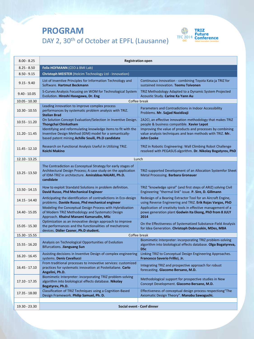# **PROGRAM** DAY 2, 30<sup>th</sup> of October at EPFL (Lausanne)



| $8.00 - 8.25$   | <b>Registration open</b>                                                                                                                                                                           |                                                                                                                                              |  |
|-----------------|----------------------------------------------------------------------------------------------------------------------------------------------------------------------------------------------------|----------------------------------------------------------------------------------------------------------------------------------------------|--|
| $8.25 - 8.50$   | Felix HOFMANN (CEO à BMI Lab)                                                                                                                                                                      |                                                                                                                                              |  |
| $8.50 - 9.15$   | <b>Christoph MEISTER</b> (Holcim Technology Ltd - Innovation)                                                                                                                                      |                                                                                                                                              |  |
| $9.15 - 9.40$   | List of Inventive Principles for Information Technology and<br>Software. Hartmut Beckmann                                                                                                          | Continuous innovation - combining Toyota Kata ja TRIZ for<br>sustained innovation. Teemu Toivonen                                            |  |
| $9.40 - 10.05$  | S-Curves Analysis Focusing on WOM for Technological System<br>Evolution. Hiroshi Hasegawa, Dr. Eng                                                                                                 | TRIZ Methodology Adapted to a Dynamic System Projected<br>Acoustic Study. Carine Ka Yann Au                                                  |  |
| $10.05 - 10.30$ | Coffee break                                                                                                                                                                                       |                                                                                                                                              |  |
| $10.30 - 10.55$ | Leading innovation to improve complex process<br>performances by systematic problem analysis with TRIZ.<br><b>Stelian Brad</b>                                                                     | Parameters and Contradictions in Indoor Accessibility<br>Problems. Mr. Sajjad Nazidizaji                                                     |  |
| $10.55 - 11.20$ | On Solution Concept Evaluation/Selection in Inventive Design.<br><b>Thongchai Chinkatham</b>                                                                                                       | 2A2CI, an effective innovation methodology that makes TRIZ<br>people & business compatible. Xavier Lepot                                     |  |
| 11.20 - 11.45   | Identifying and reformulating knowledge items to fit with the<br>Inventive Design Method (IDM) model for a semantically-<br>based patent mining. Achille Souili, Ph.D candidate                    | Improving the value of products and processes by combining<br>value analysis techniques and lean methods with TRIZ. Mr.<br><b>John Cooke</b> |  |
| 11.45 - 12.10   | Research on Functional Analysis Useful in Utilizing TRIZ.<br>Koichi Makino                                                                                                                         | TRIZ in Robotic Engineering: Wall Climbing Robot Challenge<br>resolved with PEGASUS algorithm. Dr. Nikolay Bogatyrev, PhD                    |  |
| $12.10 - 13.25$ | Lunch                                                                                                                                                                                              |                                                                                                                                              |  |
| 13.25 - 13.50   | The Contradiction as Conceptual Strategy for early stages of<br>Architectural Design Process; A case study on the application<br>of IDM-TRIZ in architecture. Amirabbas NAJARI, Ph.D.<br>candidate | TRIZ-supported Development of an Allocation Systemfor Sheet<br>Metal Processing. Barbara Gronauer                                            |  |
| 13.50 - 14.15   | How to exploit Standatd Solutions in problem definition.<br>David Russo, Phd Mechanical Engineer                                                                                                   | TRIZ "knowledge spiral" (and first steps of ARIZ) solving Civil<br>Engineering "thermal link" issue. P. Sire, D. Gillmann                    |  |
| 14.15 - 14.40   | Anticipating the identification of contradictions in Eco-design<br>problems. Davide Russo, Phd mechanical engineer                                                                                 | Redesign of a Bearing Extractor Tool for an Aircraft Engine,<br>using Reverse Engineering and TRIZ. Erik Rojas Vargas, PhD                   |  |
| 14.40 - 15.05   | Modeling the Conceptual Design Process with Hybridization<br>of Modern TRIZ Methodology and Systematci Design<br>Approach. Khairul Manami Kamarudin, MSc                                           | Application of creativity tools in effective management of a<br>powe generation plant Godwin Ita Ekong, PhD from 8 JULY<br>2014              |  |
| 15.05 - 15.30   | Optimization as an innovative design approach to improve<br>the performances and the functionalities of mechatronic<br>devices. Didier Casner, Ph.D student.                                       | On the Effectiveness of Systematized Substance-Field Analysis<br>for Idea Generation. Christoph Dobrusskin, MDes, MBA                        |  |
| 15.30 - 15.55   | Coffee break                                                                                                                                                                                       |                                                                                                                                              |  |
| 15.55 - 16.20   | Analysis on Technological Opportunities of Evolution<br><b>Bifurcations. Jianguang Sun</b>                                                                                                         | Biomimetic Interpreter: incorporating TRIZ problem-solving<br>algorithm into biolological effects database. Olga Bogatyreva,<br><b>DSc</b>   |  |
| $16.20 - 16.45$ | Assisting decisions in Inventive Design of complex engineering<br>systems. Denis Cavallucci                                                                                                        | Linking TRIZ to Conceptual Design Engineering Approaches.<br>Francesco Saverio Frillici, Jr.                                                 |  |
| $16.45 - 17.10$ | From traditional processes to innovative services: customized<br>practices for systematic innovation at Posteitaliane. Carlo<br>Angelini, Ph.D.                                                    | Integrating TRIZ and prospective approach for robust<br>forecasting. Giacomo Bersano, M.D.                                                   |  |
| 17.10 - 17.35   | Biomimetic Interpreter: incorporating TRIZ problem-solving<br>algorithm into biolological effects database. Nikolay<br>Bogatyrev, Ph.D.                                                            | Methodological support for prospective studies in New<br>Concept Development. Giacomo Bersano, M.D.                                          |  |
| 17.35 - 18.00   | Classification of TRIZ Techniques using a Cognition-Based<br>Design Framework. Philip Samuel, Ph. D.                                                                                               | Effectiveness of conceptual design process respectiong"The<br>Axiomatic Design Theory". Manabu Sawaguchi.                                    |  |
|                 |                                                                                                                                                                                                    |                                                                                                                                              |  |
| 19.30 - 23.30   |                                                                                                                                                                                                    | Social event - Conf dinner                                                                                                                   |  |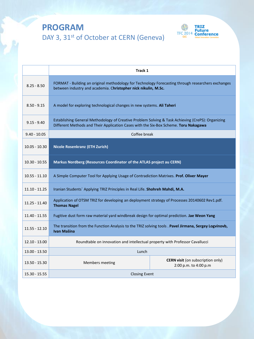# **PROGRAM** DAY 3, 31<sup>st</sup> of October at CERN (Geneva)



|                 | Track 1                                                                                                                                                                                   |                                                                   |
|-----------------|-------------------------------------------------------------------------------------------------------------------------------------------------------------------------------------------|-------------------------------------------------------------------|
| $8.25 - 8.50$   | FORMAT - Building an original methodology for Technology Forecasting through researchers exchanges<br>between industry and academia. Christopher nick nikulin, M.Sc.                      |                                                                   |
| $8.50 - 9.15$   | A model for exploring technological changes in new systems. Ali Taheri                                                                                                                    |                                                                   |
| $9.15 - 9.40$   | Establishing General Methodology of Creative Problem Solving & Task Achieving (CrePS): Organizing<br>Different Methods and Their Application Cases with the Six-Box Scheme. Toru Nakagawa |                                                                   |
| $9.40 - 10.05$  | Coffee break                                                                                                                                                                              |                                                                   |
| $10.05 - 10.30$ | <b>Nicole Rosenkranz (ETH Zurich)</b>                                                                                                                                                     |                                                                   |
| $10.30 - 10.55$ | Markus Nordberg (Resources Coordinator of the ATLAS project au CERN)                                                                                                                      |                                                                   |
| $10.55 - 11.10$ | A Simple Computer Tool for Applying Usage of Contradiction Matrixes. Prof. Oliver Mayer                                                                                                   |                                                                   |
| 11.10 - 11.25   | Iranian Students` Applying TRIZ Principles in Real Life. Shohreh Mahdi, M.A.                                                                                                              |                                                                   |
| $11.25 - 11.40$ | Application of OTSM TRIZ for developing an deployment strategy of Processes 20140602 Rev1.pdf.<br><b>Thomas Nagel</b>                                                                     |                                                                   |
| 11.40 - 11.55   | Fugitive dust form raw material yard windbreak design for optimal prediction. Jae Weon Yang                                                                                               |                                                                   |
| $11.55 - 12.10$ | The transition from the Function Analysis to the TRIZ solving tools . Pavel Jirmana, Sergey Logvinovb,<br>Ivan Mašína                                                                     |                                                                   |
| $12.10 - 13.00$ | Roundtable on innovation and intellectual property with Professor Cavallucci                                                                                                              |                                                                   |
| $13.00 - 13.50$ | Lunch                                                                                                                                                                                     |                                                                   |
| $13.50 - 15.30$ | Members meeting                                                                                                                                                                           | <b>CERN visit</b> (on subscription only)<br>2:00 p.m. to 4:00 p.m |
| 15.30 - 15.55   | <b>Closing Event</b>                                                                                                                                                                      |                                                                   |